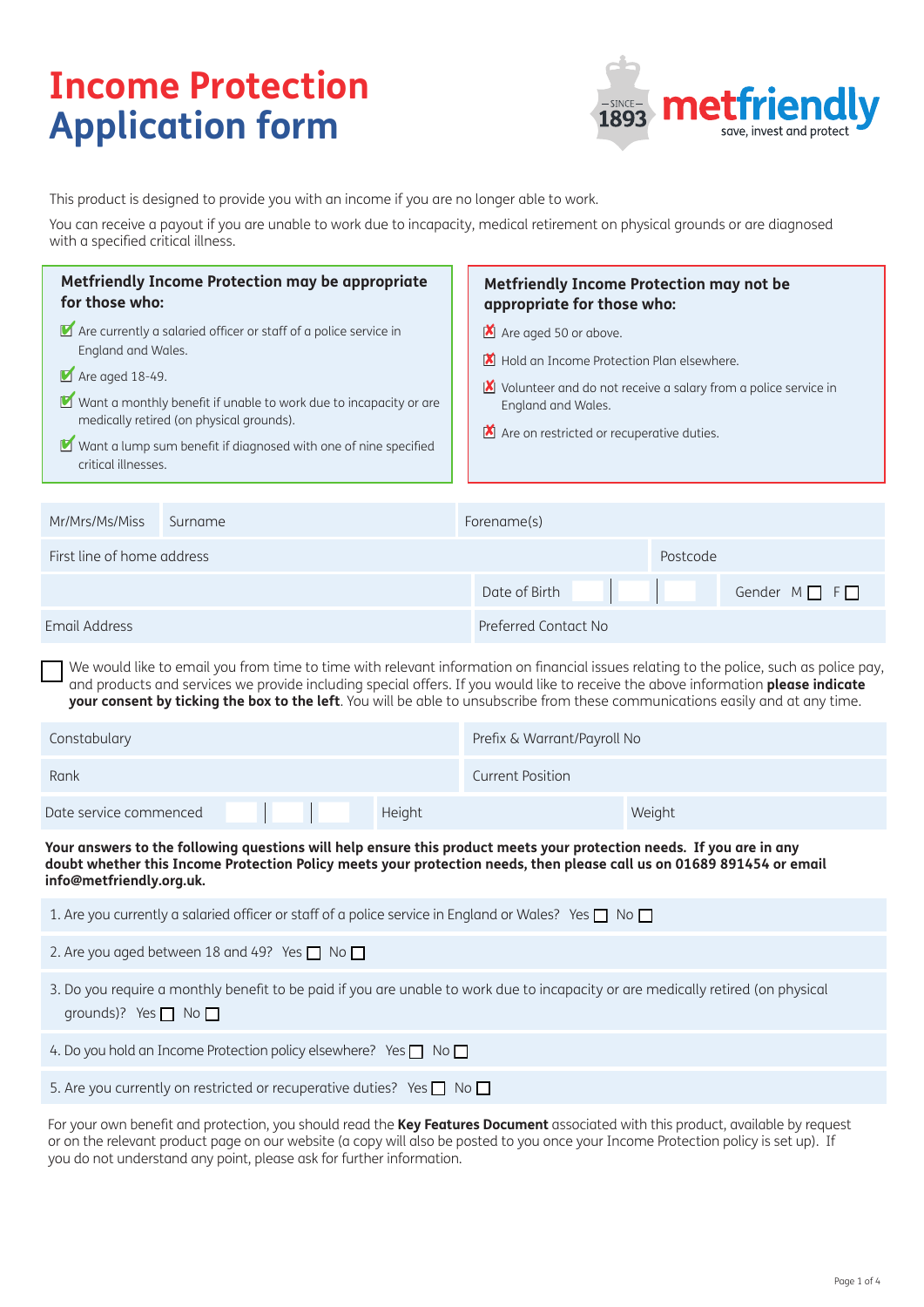# **Income Protection Application form**



This product is designed to provide you with an income if you are no longer able to work.

You can receive a payout if you are unable to work due to incapacity, medical retirement on physical grounds or are diagnosed with a specified critical illness.

| Metfriendly Income Protection may be appropriate<br>for those who:                                                                                                                                                                                                                                                                    |         | <b>Metfriendly Income Protection may not be</b><br>appropriate for those who:                                                                                                                                                           |  |  |
|---------------------------------------------------------------------------------------------------------------------------------------------------------------------------------------------------------------------------------------------------------------------------------------------------------------------------------------|---------|-----------------------------------------------------------------------------------------------------------------------------------------------------------------------------------------------------------------------------------------|--|--|
| Are currently a salaried officer or staff of a police service in<br>England and Wales.<br>$\blacksquare$ Are aged 18-49.<br>■ Want a monthly benefit if unable to work due to incapacity or are<br>medically retired (on physical grounds).<br>Want a lump sum benefit if diagnosed with one of nine specified<br>critical illnesses. |         | Are aged 50 or above.<br>Hold an Income Protection Plan elsewhere.<br><b>X</b><br>Volunteer and do not receive a salary from a police service in<br>M<br>England and Wales.<br>$\blacksquare$ Are on restricted or recuperative duties. |  |  |
| Mr/Mrs/Ms/Miss                                                                                                                                                                                                                                                                                                                        | Surname | Forename(s)                                                                                                                                                                                                                             |  |  |
| First line of home address                                                                                                                                                                                                                                                                                                            |         | Postcode                                                                                                                                                                                                                                |  |  |
|                                                                                                                                                                                                                                                                                                                                       |         | Date of Birth<br>Gender $M \Box F$                                                                                                                                                                                                      |  |  |
| <b>Email Address</b>                                                                                                                                                                                                                                                                                                                  |         | Preferred Contact No                                                                                                                                                                                                                    |  |  |

We would like to email you from time to time with relevant information on financial issues relating to the police, such as police pay, and products and services we provide including special offers. If you would like to receive the above information **please indicate your consent by ticking the box to the left**. You will be able to unsubscribe from these communications easily and at any time. ■

| Constabulary           |  |  |        | Prefix & Warrant/Payroll No |        |
|------------------------|--|--|--------|-----------------------------|--------|
| Rank                   |  |  |        | <b>Current Position</b>     |        |
| Date service commenced |  |  | Height |                             | Weight |

**Your answers to the following questions will help ensure this product meets your protection needs. If you are in any doubt whether this Income Protection Policy meets your protection needs, then please call us on 01689 891454 or email info@metfriendly.org.uk.**

| 1. Are you currently a salaried officer or staff of a police service in England or Wales? Yes $\Box$ No $\Box$                                                     |
|--------------------------------------------------------------------------------------------------------------------------------------------------------------------|
| 2. Are you aged between 18 and 49? Yes $\Box$ No $\Box$                                                                                                            |
| 3. Do you require a monthly benefit to be paid if you are unable to work due to incapacity or are medically retired (on physical<br>grounds)? Yes $\Box$ No $\Box$ |
| 4. Do you hold an Income Protection policy elsewhere? Yes $\Box$ No $\Box$                                                                                         |
| 5. Are you currently on restricted or recuperative duties? Yes $\Box$ No $\Box$                                                                                    |
|                                                                                                                                                                    |

For your own benefit and protection, you should read the **Key Features Document** associated with this product, available by request or on the relevant product page on our website (a copy will also be posted to you once your Income Protection policy is set up). If you do not understand any point, please ask for further information.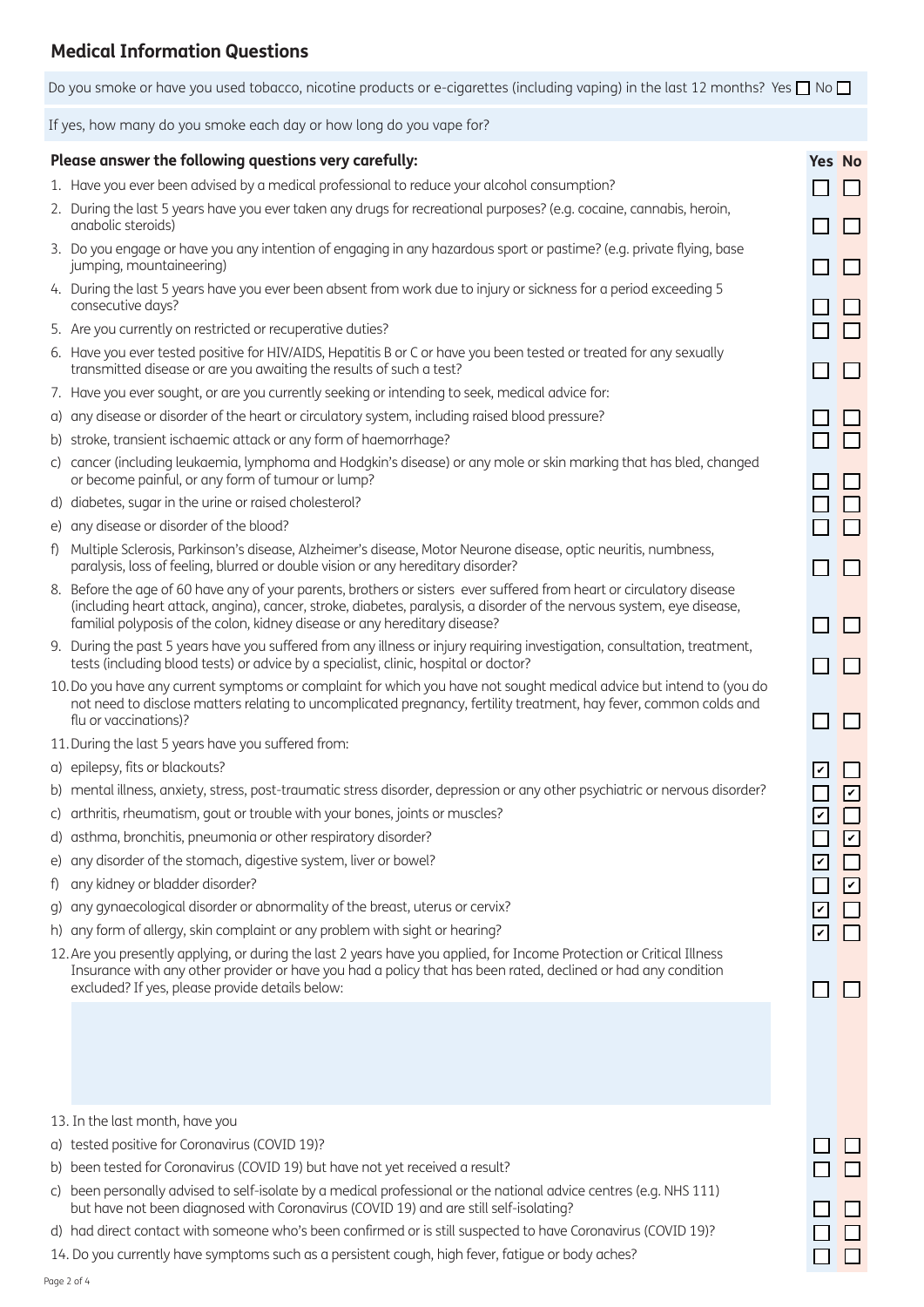## **Medical Information Questions**

Do you smoke or have you used tobacco, nicotine products or e-cigarettes (including vaping) in the last 12 months? Yes  $\Box$  No  $\Box$ 

If yes, how many do you smoke each day or how long do you vape for?

#### **Please answer the following questions very carefully: Yes No**

- 1. Have you ever been advised by a medical professional to reduce your alcohol consumption?
- 2. During the last 5 years have you ever taken any drugs for recreational purposes? (e.g. cocaine, cannabis, heroin, anabolic steroids)
- 3. Do you engage or have you any intention of engaging in any hazardous sport or pastime? (e.g. private flying, base jumping, mountaineering)
- 4. During the last 5 years have you ever been absent from work due to injury or sickness for a period exceeding 5 consecutive days?
- 5. Are you currently on restricted or recuperative duties?
- 6. Have you ever tested positive for HIV/AIDS, Hepatitis B or C or have you been tested or treated for any sexually transmitted disease or are you awaiting the results of such a test?
- 7. Have you ever sought, or are you currently seeking or intending to seek, medical advice for:
- a) any disease or disorder of the heart or circulatory system, including raised blood pressure?
- b) stroke, transient ischaemic attack or any form of haemorrhage?
- c) cancer (including leukaemia, lymphoma and Hodgkin's disease) or any mole or skin marking that has bled, changed or become painful, or any form of tumour or lump?
- d) diabetes, sugar in the urine or raised cholesterol?
- e) any disease or disorder of the blood?
- f) Multiple Sclerosis, Parkinson's disease, Alzheimer's disease, Motor Neurone disease, optic neuritis, numbness, paralysis, loss of feeling, blurred or double vision or any hereditary disorder?
- 8. Before the age of 60 have any of your parents, brothers or sisters ever suffered from heart or circulatory disease (including heart attack, angina), cancer, stroke, diabetes, paralysis, a disorder of the nervous system, eye disease, familial polyposis of the colon, kidney disease or any hereditary disease?
- 9. During the past 5 years have you suffered from any illness or injury requiring investigation, consultation, treatment, tests (including blood tests) or advice by a specialist, clinic, hospital or doctor?
- 10.Do you have any current symptoms or complaint for which you have not sought medical advice but intend to (you do not need to disclose matters relating to uncomplicated pregnancy, fertility treatment, hay fever, common colds and flu or vaccinations)?
- 11.During the last 5 years have you suffered from:
- a) epilepsy, fits or blackouts?
- b) mental illness, anxiety, stress, post-traumatic stress disorder, depression or any other psychiatric or nervous disorder?
- c) arthritis, rheumatism, gout or trouble with your bones, joints or muscles?
- d) asthma, bronchitis, pneumonia or other respiratory disorder?
- e) any disorder of the stomach, digestive system, liver or bowel?
- f) any kidney or bladder disorder?
- g) any gynaecological disorder or abnormality of the breast, uterus or cervix?
- h) any form of allergy, skin complaint or any problem with sight or hearing?
- 12. Are you presently applying, or during the last 2 years have you applied, for Income Protection or Critical Illness Insurance with any other provider or have you had a policy that has been rated, declined or had any condition excluded? If yes, please provide details below:

13. In the last month, have you

- a) tested positive for Coronavirus (COVID 19)?
- b) been tested for Coronavirus (COVID 19) but have not yet received a result?
- c) been personally advised to self-isolate by a medical professional or the national advice centres (e.g. NHS 111) but have not been diagnosed with Coronavirus (COVID 19) and are still self-isolating?
- d) had direct contact with someone who's been confirmed or is still suspected to have Coronavirus (COVID 19)?
- 14. Do you currently have symptoms such as a persistent cough, high fever, fatigue or body aches?

| ⊑<br>コ<br>l<br>L<br>Ē<br>Ì<br>Γ<br>コ<br>Г<br>$\Box$                                   | Г<br>I<br>l<br>C<br>l<br>Γ<br>I<br>Г<br>1<br>Г                                          |  |
|---------------------------------------------------------------------------------------|-----------------------------------------------------------------------------------------|--|
| $\Box$                                                                                | 1<br>Е                                                                                  |  |
| $\Box$                                                                                | 1<br>Г                                                                                  |  |
| $\cdot$<br>]<br>Ļ<br>$\ddot{\phantom{0}}$<br>Ì.<br>$\cdot$<br>$\overline{\mathbf{v}}$ | $\overline{\phantom{a}}$<br>l<br>$\overline{\cdot}$<br>$\cdot$<br>Ŀ<br>I<br>$\mathsf L$ |  |
| I<br>ר<br>ד                                                                           | l                                                                                       |  |
| ℾ<br>ך<br>Г<br>ヿ                                                                      | C<br>ך<br>C                                                                             |  |
| Г<br>$\Box$<br>$\overline{a}$<br>]<br>D<br>]                                          | Г<br>٦<br>[<br>l<br>Ē                                                                   |  |
|                                                                                       |                                                                                         |  |
|                                                                                       |                                                                                         |  |

П  $\Box$ 

П.  $\Box$ 

n.  $\Box$ 

n.  $\Box$ 

П  $\Box$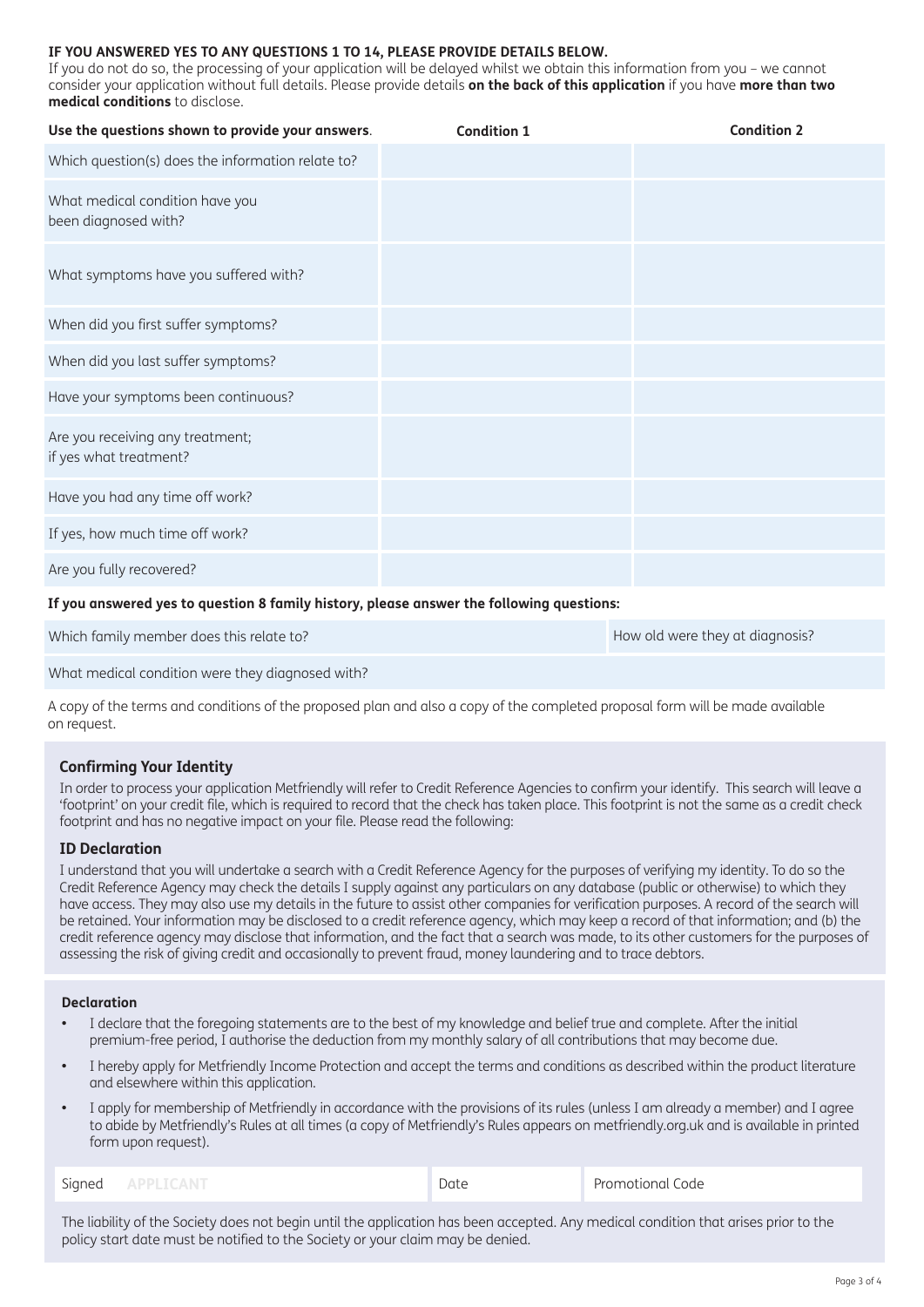#### **IF YOU ANSWERED YES TO ANY QUESTIONS 1 TO 14, PLEASE PROVIDE DETAILS BELOW.**

If you do not do so, the processing of your application will be delayed whilst we obtain this information from you – we cannot consider your application without full details. Please provide details **on the back of this application** if you have **more than two medical conditions** to disclose.

| Use the questions shown to provide your answers.           | <b>Condition 1</b> | <b>Condition 2</b> |
|------------------------------------------------------------|--------------------|--------------------|
| Which question(s) does the information relate to?          |                    |                    |
| What medical condition have you<br>been diagnosed with?    |                    |                    |
| What symptoms have you suffered with?                      |                    |                    |
| When did you first suffer symptoms?                        |                    |                    |
| When did you last suffer symptoms?                         |                    |                    |
| Have your symptoms been continuous?                        |                    |                    |
| Are you receiving any treatment;<br>if yes what treatment? |                    |                    |
| Have you had any time off work?                            |                    |                    |
| If yes, how much time off work?                            |                    |                    |
| Are you fully recovered?                                   |                    |                    |

#### **If you answered yes to question 8 family history, please answer the following questions:**

Which family member does this relate to? How old were they at diagnosis?

What medical condition were they diagnosed with?

A copy of the terms and conditions of the proposed plan and also a copy of the completed proposal form will be made available on request.

### **Confirming Your Identity**

In order to process your application Metfriendly will refer to Credit Reference Agencies to confirm your identify. This search will leave a 'footprint' on your credit file, which is required to record that the check has taken place. This footprint is not the same as a credit check footprint and has no negative impact on your file. Please read the following:

#### **ID Declaration**

I understand that you will undertake a search with a Credit Reference Agency for the purposes of verifying my identity. To do so the Credit Reference Agency may check the details I supply against any particulars on any database (public or otherwise) to which they have access. They may also use my details in the future to assist other companies for verification purposes. A record of the search will be retained. Your information may be disclosed to a credit reference agency, which may keep a record of that information; and (b) the credit reference agency may disclose that information, and the fact that a search was made, to its other customers for the purposes of assessing the risk of giving credit and occasionally to prevent fraud, money laundering and to trace debtors.

#### **Declaration**

- I declare that the foregoing statements are to the best of my knowledge and belief true and complete. After the initial premium-free period, I authorise the deduction from my monthly salary of all contributions that may become due.
- **•** I hereby apply for Metfriendly Income Protection and accept the terms and conditions as described within the product literature and elsewhere within this application.
- **•** I apply for membership of Metfriendly in accordance with the provisions of its rules (unless I am already a member) and I agree to abide by Metfriendly's Rules at all times (a copy of Metfriendly's Rules appears on metfriendly.org.uk and is available in printed form upon request).

| $\sim$ . The set of $\sim$<br>ັ<br>۰ | . | - 11<br>. |
|--------------------------------------|---|-----------|
|                                      |   |           |

The liability of the Society does not begin until the application has been accepted. Any medical condition that arises prior to the policy start date must be notified to the Society or your claim may be denied.